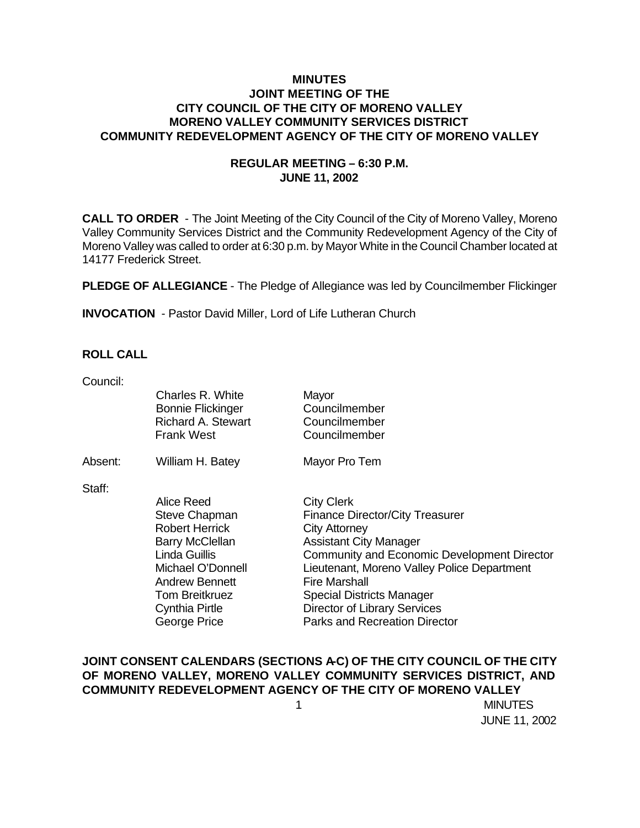### **MINUTES JOINT MEETING OF THE CITY COUNCIL OF THE CITY OF MORENO VALLEY MORENO VALLEY COMMUNITY SERVICES DISTRICT COMMUNITY REDEVELOPMENT AGENCY OF THE CITY OF MORENO VALLEY**

### **REGULAR MEETING – 6:30 P.M. JUNE 11, 2002**

**CALL TO ORDER** - The Joint Meeting of the City Council of the City of Moreno Valley, Moreno Valley Community Services District and the Community Redevelopment Agency of the City of Moreno Valley was called to order at 6:30 p.m. by Mayor White in the Council Chamber located at 14177 Frederick Street.

**PLEDGE OF ALLEGIANCE** - The Pledge of Allegiance was led by Councilmember Flickinger

**INVOCATION** - Pastor David Miller, Lord of Life Lutheran Church

### **ROLL CALL**

| Council: |                                                                                                |                                                          |
|----------|------------------------------------------------------------------------------------------------|----------------------------------------------------------|
|          | Charles R. White<br><b>Bonnie Flickinger</b><br><b>Richard A. Stewart</b><br><b>Frank West</b> | Mayor<br>Councilmember<br>Councilmember<br>Councilmember |
| Absent:  | William H. Batey                                                                               | Mayor Pro Tem                                            |
| Staff:   |                                                                                                |                                                          |
|          | Alice Reed                                                                                     | <b>City Clerk</b>                                        |
|          | Steve Chapman                                                                                  | <b>Finance Director/City Treasurer</b>                   |
|          | <b>Robert Herrick</b>                                                                          | <b>City Attorney</b>                                     |
|          | <b>Barry McClellan</b>                                                                         | <b>Assistant City Manager</b>                            |
|          | Linda Guillis                                                                                  | Community and Economic Development Director              |
|          | Michael O'Donnell                                                                              | Lieutenant, Moreno Valley Police Department              |
|          | <b>Andrew Bennett</b>                                                                          | <b>Fire Marshall</b>                                     |
|          | <b>Tom Breitkruez</b>                                                                          | <b>Special Districts Manager</b>                         |
|          | Cynthia Pirtle                                                                                 | Director of Library Services                             |
|          | George Price                                                                                   | <b>Parks and Recreation Director</b>                     |

### **JOINT CONSENT CALENDARS (SECTIONS A-C) OF THE CITY COUNCIL OF THE CITY OF MORENO VALLEY, MORENO VALLEY COMMUNITY SERVICES DISTRICT, AND COMMUNITY REDEVELOPMENT AGENCY OF THE CITY OF MORENO VALLEY**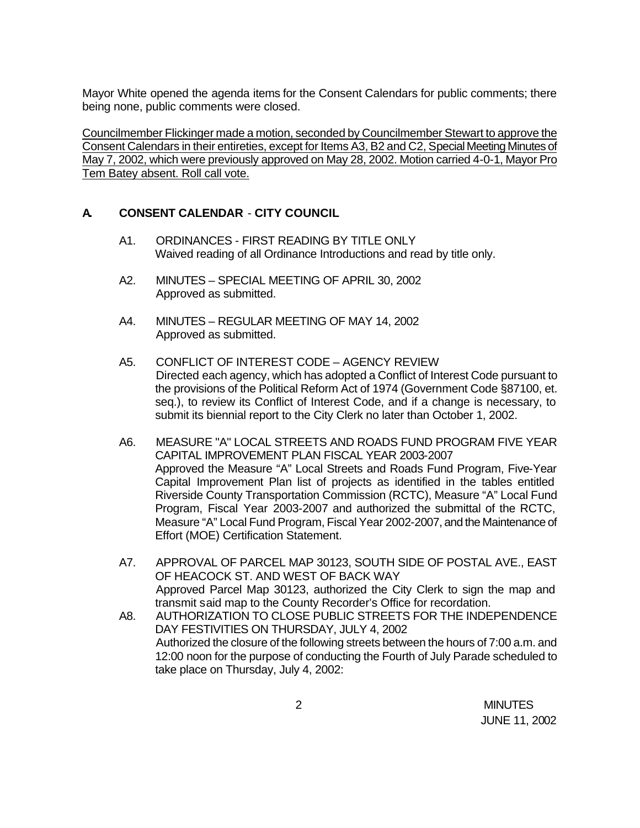Mayor White opened the agenda items for the Consent Calendars for public comments; there being none, public comments were closed.

Councilmember Flickinger made a motion, seconded by Councilmember Stewart to approve the Consent Calendars in their entireties, except for Items A3, B2 and C2, Special Meeting Minutes of May 7, 2002, which were previously approved on May 28, 2002. Motion carried 4-0-1, Mayor Pro Tem Batey absent. Roll call vote.

# **A. CONSENT CALENDAR** - **CITY COUNCIL**

- A1. ORDINANCES FIRST READING BY TITLE ONLY Waived reading of all Ordinance Introductions and read by title only.
- A2. MINUTES SPECIAL MEETING OF APRIL 30, 2002 Approved as submitted.
- A4. MINUTES REGULAR MEETING OF MAY 14, 2002 Approved as submitted.
- A5. CONFLICT OF INTEREST CODE AGENCY REVIEW Directed each agency, which has adopted a Conflict of Interest Code pursuant to the provisions of the Political Reform Act of 1974 (Government Code §87100, et. seq.), to review its Conflict of Interest Code, and if a change is necessary, to submit its biennial report to the City Clerk no later than October 1, 2002.
- A6. MEASURE "A" LOCAL STREETS AND ROADS FUND PROGRAM FIVE YEAR CAPITAL IMPROVEMENT PLAN FISCAL YEAR 2003-2007 Approved the Measure "A" Local Streets and Roads Fund Program, Five-Year Capital Improvement Plan list of projects as identified in the tables entitled Riverside County Transportation Commission (RCTC), Measure "A" Local Fund Program, Fiscal Year 2003-2007 and authorized the submittal of the RCTC, Measure "A" Local Fund Program, Fiscal Year 2002-2007, and the Maintenance of Effort (MOE) Certification Statement.
- A7. APPROVAL OF PARCEL MAP 30123, SOUTH SIDE OF POSTAL AVE., EAST OF HEACOCK ST. AND WEST OF BACK WAY Approved Parcel Map 30123, authorized the City Clerk to sign the map and transmit said map to the County Recorder's Office for recordation.
- A8. AUTHORIZATION TO CLOSE PUBLIC STREETS FOR THE INDEPENDENCE DAY FESTIVITIES ON THURSDAY, JULY 4, 2002 Authorized the closure of the following streets between the hours of 7:00 a.m. and 12:00 noon for the purpose of conducting the Fourth of July Parade scheduled to take place on Thursday, July 4, 2002: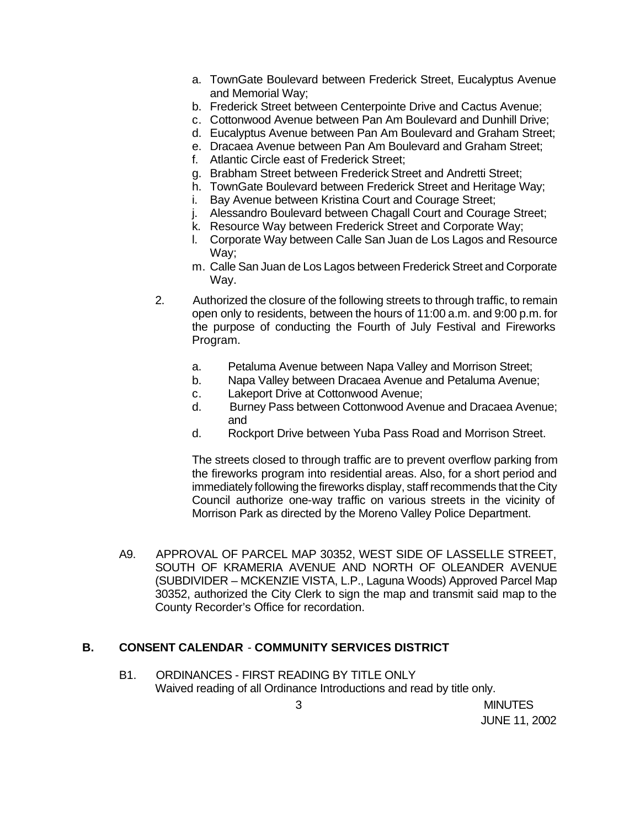- a. TownGate Boulevard between Frederick Street, Eucalyptus Avenue and Memorial Way;
- b. Frederick Street between Centerpointe Drive and Cactus Avenue;
- c. Cottonwood Avenue between Pan Am Boulevard and Dunhill Drive;
- d. Eucalyptus Avenue between Pan Am Boulevard and Graham Street;
- e. Dracaea Avenue between Pan Am Boulevard and Graham Street;
- f. Atlantic Circle east of Frederick Street;
- g. Brabham Street between Frederick Street and Andretti Street;
- h. TownGate Boulevard between Frederick Street and Heritage Way;
- i. Bay Avenue between Kristina Court and Courage Street;
- j. Alessandro Boulevard between Chagall Court and Courage Street;
- k. Resource Way between Frederick Street and Corporate Way;
- l. Corporate Way between Calle San Juan de Los Lagos and Resource Way;
- m. Calle San Juan de Los Lagos between Frederick Street and Corporate Way.
- 2. Authorized the closure of the following streets to through traffic, to remain open only to residents, between the hours of 11:00 a.m. and 9:00 p.m. for the purpose of conducting the Fourth of July Festival and Fireworks Program.
	- a. Petaluma Avenue between Napa Valley and Morrison Street;
	- b. Napa Valley between Dracaea Avenue and Petaluma Avenue;
	- c. Lakeport Drive at Cottonwood Avenue;
	- d. Burney Pass between Cottonwood Avenue and Dracaea Avenue; and
	- d. Rockport Drive between Yuba Pass Road and Morrison Street.

The streets closed to through traffic are to prevent overflow parking from the fireworks program into residential areas. Also, for a short period and immediately following the fireworks display, staff recommends that the City Council authorize one-way traffic on various streets in the vicinity of Morrison Park as directed by the Moreno Valley Police Department.

A9. APPROVAL OF PARCEL MAP 30352, WEST SIDE OF LASSELLE STREET, SOUTH OF KRAMERIA AVENUE AND NORTH OF OLEANDER AVENUE (SUBDIVIDER – MCKENZIE VISTA, L.P., Laguna Woods) Approved Parcel Map 30352, authorized the City Clerk to sign the map and transmit said map to the County Recorder's Office for recordation.

# **B. CONSENT CALENDAR** - **COMMUNITY SERVICES DISTRICT**

B1. ORDINANCES - FIRST READING BY TITLE ONLY Waived reading of all Ordinance Introductions and read by title only.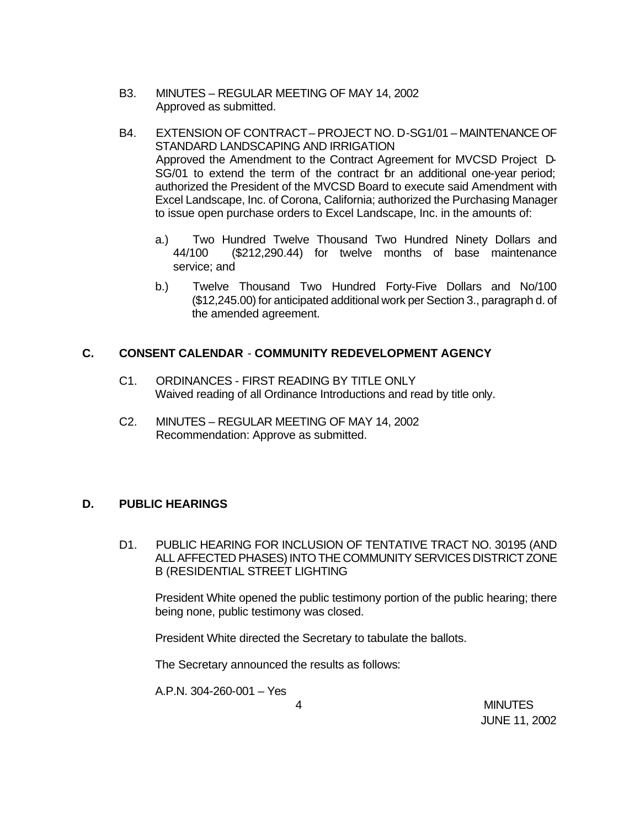- B3. MINUTES REGULAR MEETING OF MAY 14, 2002 Approved as submitted.
- B4. EXTENSION OF CONTRACT PROJECT NO. D-SG1/01 MAINTENANCE OF STANDARD LANDSCAPING AND IRRIGATION Approved the Amendment to the Contract Agreement for MVCSD Project D-SG/01 to extend the term of the contract br an additional one-year period; authorized the President of the MVCSD Board to execute said Amendment with Excel Landscape, Inc. of Corona, California; authorized the Purchasing Manager to issue open purchase orders to Excel Landscape, Inc. in the amounts of:
	- a.) Two Hundred Twelve Thousand Two Hundred Ninety Dollars and 44/100 (\$212,290.44) for twelve months of base maintenance service; and
	- b.) Twelve Thousand Two Hundred Forty-Five Dollars and No/100 (\$12,245.00) for anticipated additional work per Section 3., paragraph d. of the amended agreement.

## **C. CONSENT CALENDAR** - **COMMUNITY REDEVELOPMENT AGENCY**

- C1. ORDINANCES FIRST READING BY TITLE ONLY Waived reading of all Ordinance Introductions and read by title only.
- C2. MINUTES REGULAR MEETING OF MAY 14, 2002 Recommendation: Approve as submitted.

# **D. PUBLIC HEARINGS**

D1. PUBLIC HEARING FOR INCLUSION OF TENTATIVE TRACT NO. 30195 (AND ALL AFFECTED PHASES) INTO THE COMMUNITY SERVICES DISTRICT ZONE B (RESIDENTIAL STREET LIGHTING

President White opened the public testimony portion of the public hearing; there being none, public testimony was closed.

President White directed the Secretary to tabulate the ballots.

The Secretary announced the results as follows:

A.P.N. 304-260-001 – Yes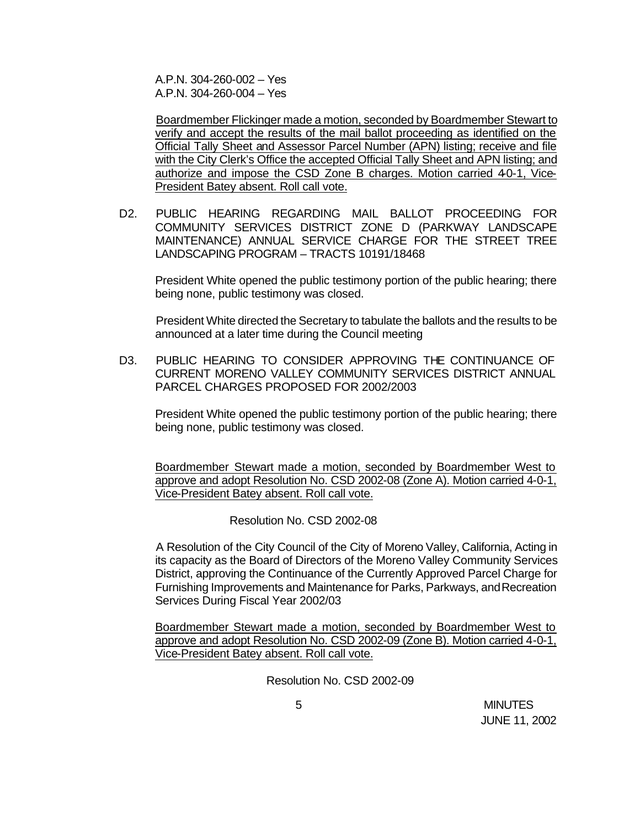A.P.N. 304-260-002 – Yes A.P.N. 304-260-004 – Yes

Boardmember Flickinger made a motion, seconded by Boardmember Stewart to verify and accept the results of the mail ballot proceeding as identified on the Official Tally Sheet and Assessor Parcel Number (APN) listing; receive and file with the City Clerk's Office the accepted Official Tally Sheet and APN listing; and authorize and impose the CSD Zone B charges. Motion carried 40-1, Vice-President Batey absent. Roll call vote.

D2. PUBLIC HEARING REGARDING MAIL BALLOT PROCEEDING FOR COMMUNITY SERVICES DISTRICT ZONE D (PARKWAY LANDSCAPE MAINTENANCE) ANNUAL SERVICE CHARGE FOR THE STREET TREE LANDSCAPING PROGRAM – TRACTS 10191/18468

President White opened the public testimony portion of the public hearing; there being none, public testimony was closed.

President White directed the Secretary to tabulate the ballots and the results to be announced at a later time during the Council meeting

D3. PUBLIC HEARING TO CONSIDER APPROVING THE CONTINUANCE OF CURRENT MORENO VALLEY COMMUNITY SERVICES DISTRICT ANNUAL PARCEL CHARGES PROPOSED FOR 2002/2003

President White opened the public testimony portion of the public hearing; there being none, public testimony was closed.

Boardmember Stewart made a motion, seconded by Boardmember West to approve and adopt Resolution No. CSD 2002-08 (Zone A). Motion carried 4-0-1, Vice-President Batey absent. Roll call vote.

Resolution No. CSD 2002-08

A Resolution of the City Council of the City of Moreno Valley, California, Acting in its capacity as the Board of Directors of the Moreno Valley Community Services District, approving the Continuance of the Currently Approved Parcel Charge for Furnishing Improvements and Maintenance for Parks, Parkways, and Recreation Services During Fiscal Year 2002/03

Boardmember Stewart made a motion, seconded by Boardmember West to approve and adopt Resolution No. CSD 2002-09 (Zone B). Motion carried 4-0-1, Vice-President Batey absent. Roll call vote.

Resolution No. CSD 2002-09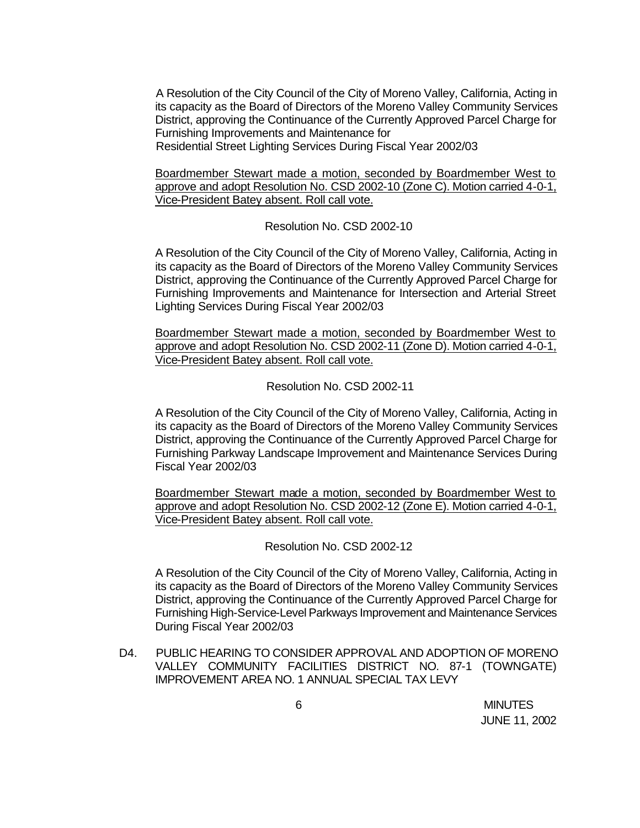A Resolution of the City Council of the City of Moreno Valley, California, Acting in its capacity as the Board of Directors of the Moreno Valley Community Services District, approving the Continuance of the Currently Approved Parcel Charge for Furnishing Improvements and Maintenance for

Residential Street Lighting Services During Fiscal Year 2002/03

Boardmember Stewart made a motion, seconded by Boardmember West to approve and adopt Resolution No. CSD 2002-10 (Zone C). Motion carried 4-0-1, Vice-President Batey absent. Roll call vote.

Resolution No. CSD 2002-10

A Resolution of the City Council of the City of Moreno Valley, California, Acting in its capacity as the Board of Directors of the Moreno Valley Community Services District, approving the Continuance of the Currently Approved Parcel Charge for Furnishing Improvements and Maintenance for Intersection and Arterial Street Lighting Services During Fiscal Year 2002/03

Boardmember Stewart made a motion, seconded by Boardmember West to approve and adopt Resolution No. CSD 2002-11 (Zone D). Motion carried 4-0-1, Vice-President Batey absent. Roll call vote.

Resolution No. CSD 2002-11

A Resolution of the City Council of the City of Moreno Valley, California, Acting in its capacity as the Board of Directors of the Moreno Valley Community Services District, approving the Continuance of the Currently Approved Parcel Charge for Furnishing Parkway Landscape Improvement and Maintenance Services During Fiscal Year 2002/03

Boardmember Stewart made a motion, seconded by Boardmember West to approve and adopt Resolution No. CSD 2002-12 (Zone E). Motion carried 4-0-1, Vice-President Batey absent. Roll call vote.

Resolution No. CSD 2002-12

A Resolution of the City Council of the City of Moreno Valley, California, Acting in its capacity as the Board of Directors of the Moreno Valley Community Services District, approving the Continuance of the Currently Approved Parcel Charge for Furnishing High-Service-Level Parkways Improvement and Maintenance Services During Fiscal Year 2002/03

D4. PUBLIC HEARING TO CONSIDER APPROVAL AND ADOPTION OF MORENO VALLEY COMMUNITY FACILITIES DISTRICT NO. 87-1 (TOWNGATE) IMPROVEMENT AREA NO. 1 ANNUAL SPECIAL TAX LEVY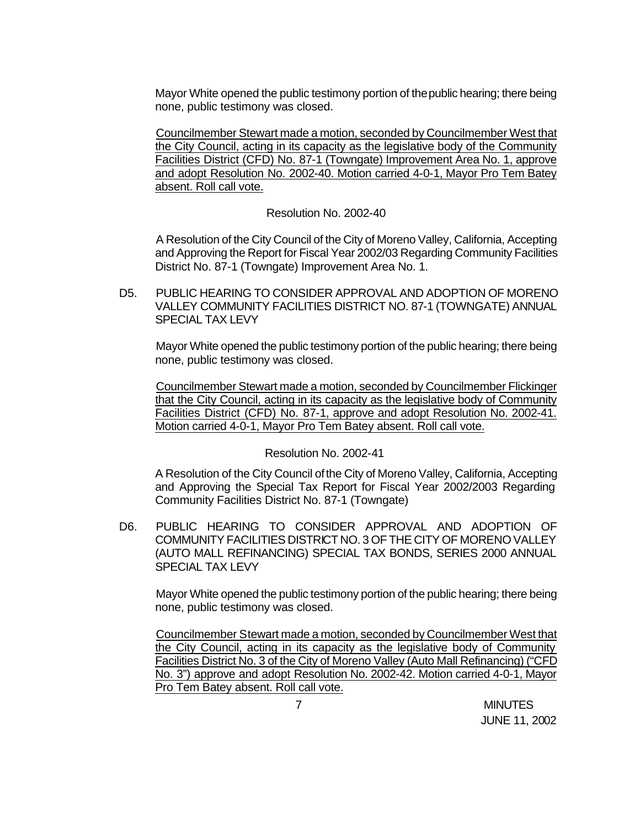Mayor White opened the public testimony portion of the public hearing; there being none, public testimony was closed.

Councilmember Stewart made a motion, seconded by Councilmember West that the City Council, acting in its capacity as the legislative body of the Community Facilities District (CFD) No. 87-1 (Towngate) Improvement Area No. 1, approve and adopt Resolution No. 2002-40. Motion carried 4-0-1, Mayor Pro Tem Batey absent. Roll call vote.

#### Resolution No. 2002-40

A Resolution of the City Council of the City of Moreno Valley, California, Accepting and Approving the Report for Fiscal Year 2002/03 Regarding Community Facilities District No. 87-1 (Towngate) Improvement Area No. 1.

D5. PUBLIC HEARING TO CONSIDER APPROVAL AND ADOPTION OF MORENO VALLEY COMMUNITY FACILITIES DISTRICT NO. 87-1 (TOWNGATE) ANNUAL SPECIAL TAX LEVY

Mayor White opened the public testimony portion of the public hearing; there being none, public testimony was closed.

Councilmember Stewart made a motion, seconded by Councilmember Flickinger that the City Council, acting in its capacity as the legislative body of Community Facilities District (CFD) No. 87-1, approve and adopt Resolution No. 2002-41. Motion carried 4-0-1, Mayor Pro Tem Batey absent. Roll call vote.

### Resolution No. 2002-41

A Resolution of the City Council of the City of Moreno Valley, California, Accepting and Approving the Special Tax Report for Fiscal Year 2002/2003 Regarding Community Facilities District No. 87-1 (Towngate)

D6. PUBLIC HEARING TO CONSIDER APPROVAL AND ADOPTION OF COMMUNITY FACILITIES DISTRICT NO. 3 OF THE CITY OF MORENO VALLEY (AUTO MALL REFINANCING) SPECIAL TAX BONDS, SERIES 2000 ANNUAL SPECIAL TAX LEVY

Mayor White opened the public testimony portion of the public hearing; there being none, public testimony was closed.

Councilmember Stewart made a motion, seconded by Councilmember West that the City Council, acting in its capacity as the legislative body of Community Facilities District No. 3 of the City of Moreno Valley (Auto Mall Refinancing) ("CFD No. 3") approve and adopt Resolution No. 2002-42. Motion carried 4-0-1, Mayor Pro Tem Batey absent. Roll call vote.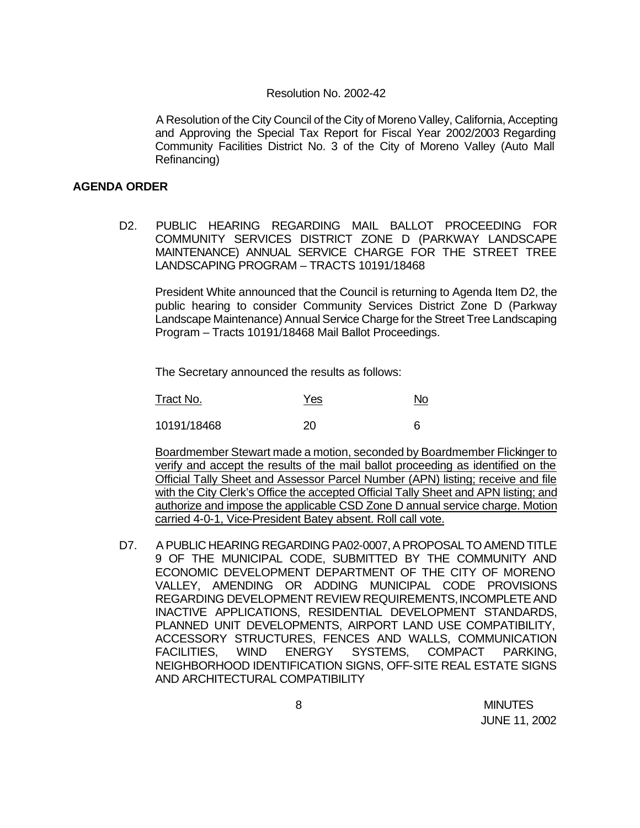#### Resolution No. 2002-42

A Resolution of the City Council of the City of Moreno Valley, California, Accepting and Approving the Special Tax Report for Fiscal Year 2002/2003 Regarding Community Facilities District No. 3 of the City of Moreno Valley (Auto Mall Refinancing)

#### **AGENDA ORDER**

D2. PUBLIC HEARING REGARDING MAIL BALLOT PROCEEDING FOR COMMUNITY SERVICES DISTRICT ZONE D (PARKWAY LANDSCAPE MAINTENANCE) ANNUAL SERVICE CHARGE FOR THE STREET TREE LANDSCAPING PROGRAM – TRACTS 10191/18468

President White announced that the Council is returning to Agenda Item D2, the public hearing to consider Community Services District Zone D (Parkway Landscape Maintenance) Annual Service Charge for the Street Tree Landscaping Program – Tracts 10191/18468 Mail Ballot Proceedings.

The Secretary announced the results as follows:

| Tract No.   | Yes | <u>No</u> |
|-------------|-----|-----------|
| 10191/18468 | 20  | 6         |

Boardmember Stewart made a motion, seconded by Boardmember Flickinger to verify and accept the results of the mail ballot proceeding as identified on the Official Tally Sheet and Assessor Parcel Number (APN) listing; receive and file with the City Clerk's Office the accepted Official Tally Sheet and APN listing; and authorize and impose the applicable CSD Zone D annual service charge. Motion carried 4-0-1, Vice-President Batey absent. Roll call vote.

D7. A PUBLIC HEARING REGARDING PA02-0007, A PROPOSAL TO AMEND TITLE 9 OF THE MUNICIPAL CODE, SUBMITTED BY THE COMMUNITY AND ECONOMIC DEVELOPMENT DEPARTMENT OF THE CITY OF MORENO VALLEY, AMENDING OR ADDING MUNICIPAL CODE PROVISIONS REGARDING DEVELOPMENT REVIEW REQUIREMENTS, INCOMPLETE AND INACTIVE APPLICATIONS, RESIDENTIAL DEVELOPMENT STANDARDS, PLANNED UNIT DEVELOPMENTS, AIRPORT LAND USE COMPATIBILITY, ACCESSORY STRUCTURES, FENCES AND WALLS, COMMUNICATION FACILITIES, WIND ENERGY SYSTEMS, COMPACT PARKING, NEIGHBORHOOD IDENTIFICATION SIGNS, OFF-SITE REAL ESTATE SIGNS AND ARCHITECTURAL COMPATIBILITY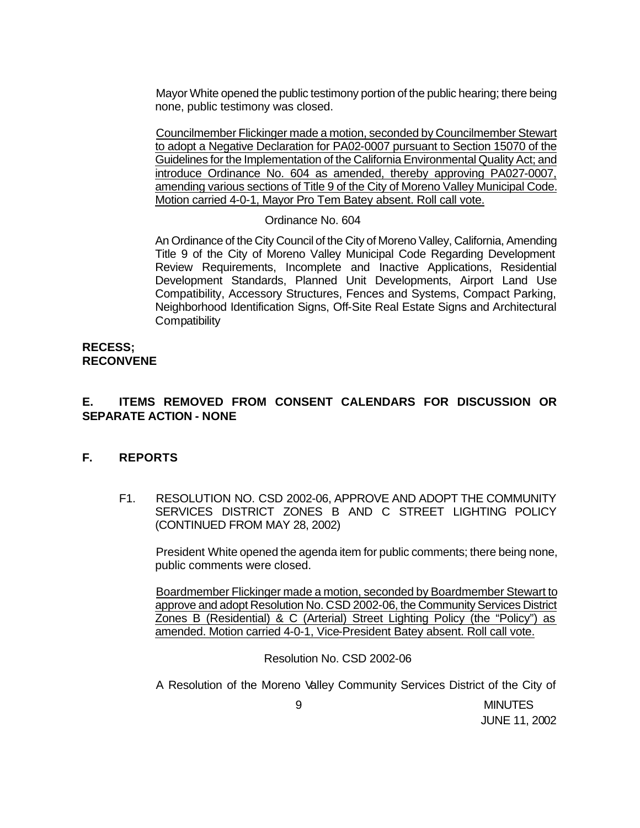Mayor White opened the public testimony portion of the public hearing; there being none, public testimony was closed.

Councilmember Flickinger made a motion, seconded by Councilmember Stewart to adopt a Negative Declaration for PA02-0007 pursuant to Section 15070 of the Guidelines for the Implementation of the California Environmental Quality Act; and introduce Ordinance No. 604 as amended, thereby approving PA027-0007, amending various sections of Title 9 of the City of Moreno Valley Municipal Code. Motion carried 4-0-1, Mayor Pro Tem Batey absent. Roll call vote.

#### Ordinance No. 604

An Ordinance of the City Council of the City of Moreno Valley, California, Amending Title 9 of the City of Moreno Valley Municipal Code Regarding Development Review Requirements, Incomplete and Inactive Applications, Residential Development Standards, Planned Unit Developments, Airport Land Use Compatibility, Accessory Structures, Fences and Systems, Compact Parking, Neighborhood Identification Signs, Off-Site Real Estate Signs and Architectural **Compatibility** 

#### **RECESS; RECONVENE**

#### **E. ITEMS REMOVED FROM CONSENT CALENDARS FOR DISCUSSION OR SEPARATE ACTION - NONE**

#### **F. REPORTS**

F1. RESOLUTION NO. CSD 2002-06, APPROVE AND ADOPT THE COMMUNITY SERVICES DISTRICT ZONES B AND C STREET LIGHTING POLICY (CONTINUED FROM MAY 28, 2002)

President White opened the agenda item for public comments; there being none, public comments were closed.

Boardmember Flickinger made a motion, seconded by Boardmember Stewart to approve and adopt Resolution No. CSD 2002-06, the Community Services District Zones B (Residential) & C (Arterial) Street Lighting Policy (the "Policy") as amended. Motion carried 4-0-1, Vice-President Batey absent. Roll call vote.

Resolution No. CSD 2002-06

A Resolution of the Moreno Valley Community Services District of the City of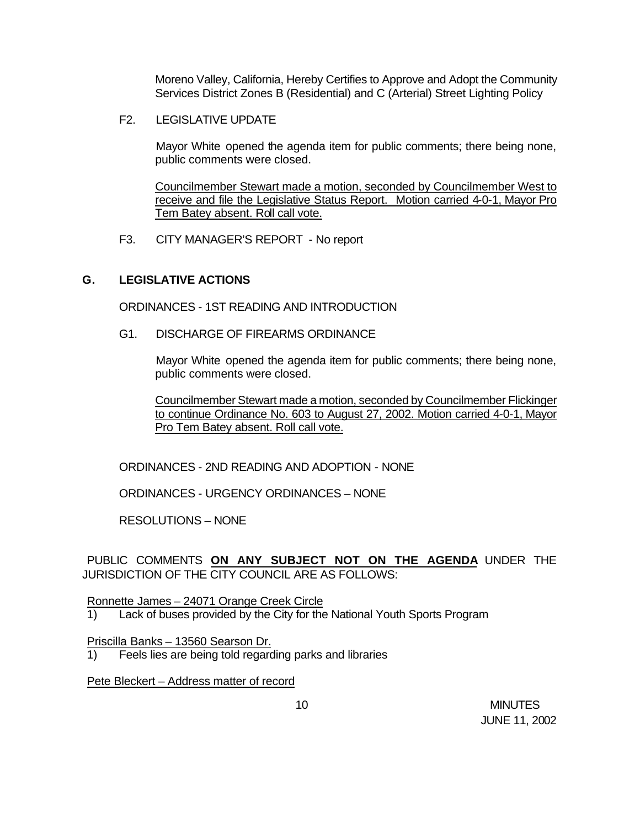Moreno Valley, California, Hereby Certifies to Approve and Adopt the Community Services District Zones B (Residential) and C (Arterial) Street Lighting Policy

F2. LEGISLATIVE UPDATE

Mayor White opened the agenda item for public comments; there being none, public comments were closed.

Councilmember Stewart made a motion, seconded by Councilmember West to receive and file the Legislative Status Report. Motion carried 4-0-1, Mayor Pro Tem Batey absent. Roll call vote.

F3. CITY MANAGER'S REPORT - No report

### **G. LEGISLATIVE ACTIONS**

ORDINANCES - 1ST READING AND INTRODUCTION

G1. DISCHARGE OF FIREARMS ORDINANCE

Mayor White opened the agenda item for public comments; there being none, public comments were closed.

Councilmember Stewart made a motion, seconded by Councilmember Flickinger to continue Ordinance No. 603 to August 27, 2002. Motion carried 4-0-1, Mayor Pro Tem Batey absent. Roll call vote.

ORDINANCES - 2ND READING AND ADOPTION - NONE

ORDINANCES - URGENCY ORDINANCES – NONE

RESOLUTIONS – NONE

PUBLIC COMMENTS **ON ANY SUBJECT NOT ON THE AGENDA** UNDER THE JURISDICTION OF THE CITY COUNCIL ARE AS FOLLOWS:

Ronnette James – 24071 Orange Creek Circle

1) Lack of buses provided by the City for the National Youth Sports Program

Priscilla Banks – 13560 Searson Dr.

1) Feels lies are being told regarding parks and libraries

Pete Bleckert – Address matter of record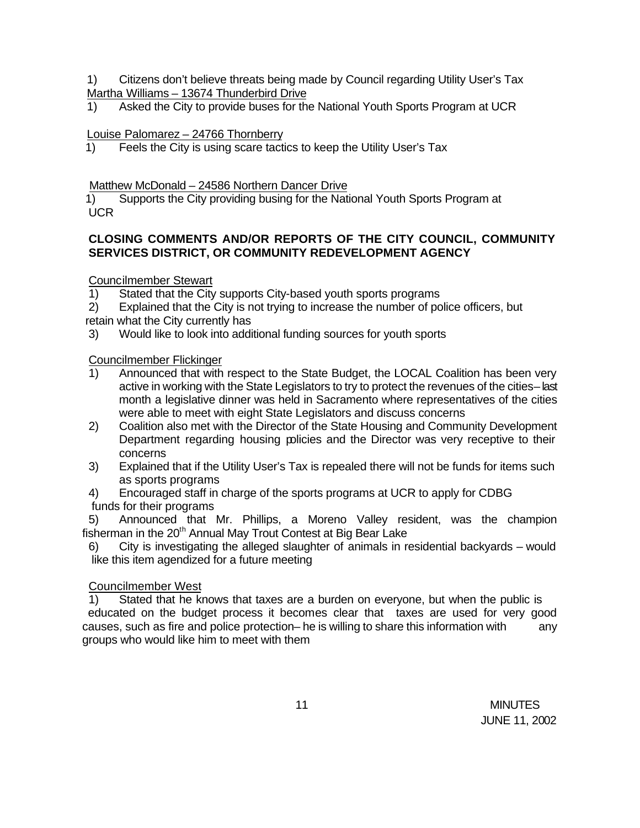1) Citizens don't believe threats being made by Council regarding Utility User's Tax Martha Williams – 13674 Thunderbird Drive

1) Asked the City to provide buses for the National Youth Sports Program at UCR

## Louise Palomarez – 24766 Thornberry

1) Feels the City is using scare tactics to keep the Utility User's Tax

### Matthew McDonald – 24586 Northern Dancer Drive

 1) Supports the City providing busing for the National Youth Sports Program at UCR

# **CLOSING COMMENTS AND/OR REPORTS OF THE CITY COUNCIL, COMMUNITY SERVICES DISTRICT, OR COMMUNITY REDEVELOPMENT AGENCY**

Councilmember Stewart

1) Stated that the City supports City-based youth sports programs

2) Explained that the City is not trying to increase the number of police officers, but retain what the City currently has

3) Would like to look into additional funding sources for youth sports

## Councilmember Flickinger

- 1) Announced that with respect to the State Budget, the LOCAL Coalition has been very active in working with the State Legislators to try to protect the revenues of the cities-last month a legislative dinner was held in Sacramento where representatives of the cities were able to meet with eight State Legislators and discuss concerns
- 2) Coalition also met with the Director of the State Housing and Community Development Department regarding housing policies and the Director was very receptive to their concerns
- 3) Explained that if the Utility User's Tax is repealed there will not be funds for items such as sports programs
- 4) Encouraged staff in charge of the sports programs at UCR to apply for CDBG funds for their programs

5) Announced that Mr. Phillips, a Moreno Valley resident, was the champion fisherman in the 20<sup>th</sup> Annual May Trout Contest at Big Bear Lake

6) City is investigating the alleged slaughter of animals in residential backyards – would like this item agendized for a future meeting

# Councilmember West

1) Stated that he knows that taxes are a burden on everyone, but when the public is educated on the budget process it becomes clear that taxes are used for very good causes, such as fire and police protection– he is willing to share this information with any groups who would like him to meet with them